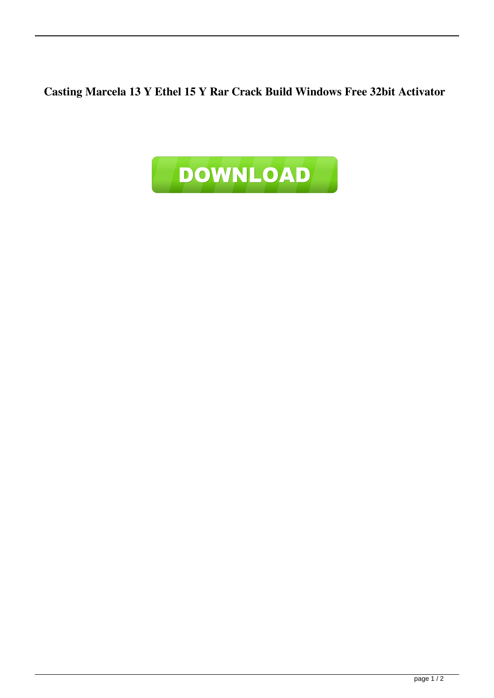**Casting Marcela 13 Y Ethel 15 Y Rar Crack Build Windows Free 32bit Activator**